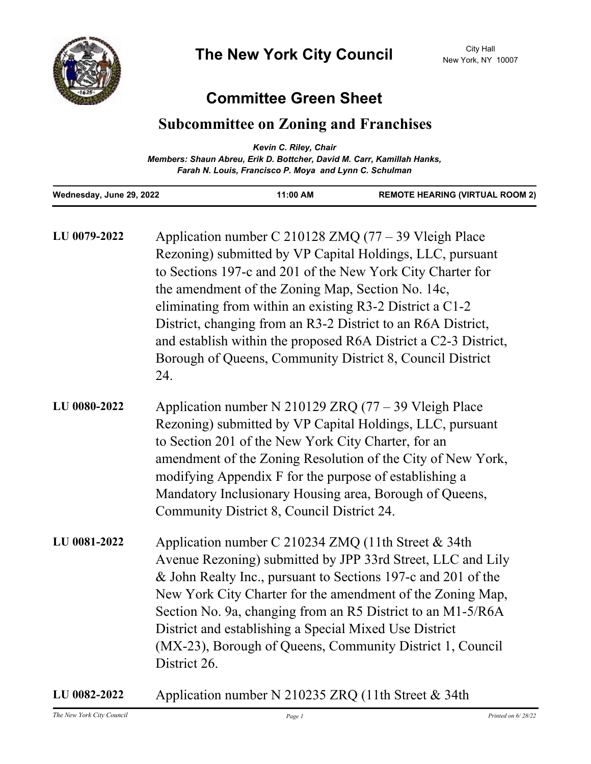

## **Committee Green Sheet**

## **Subcommittee on Zoning and Franchises**

|                                                                        | Kevin C. Riley, Chair                                  |                                        |
|------------------------------------------------------------------------|--------------------------------------------------------|----------------------------------------|
| Members: Shaun Abreu, Erik D. Bottcher, David M. Carr, Kamillah Hanks, |                                                        |                                        |
|                                                                        | Farah N. Louis, Francisco P. Moya and Lynn C. Schulman |                                        |
| Wednesday, June 29, 2022                                               | 11:00 AM                                               | <b>REMOTE HEARING (VIRTUAL ROOM 2)</b> |

| LU 0079-2022 | Application number C 210128 ZMQ (77 - 39 Vleigh Place<br>Rezoning) submitted by VP Capital Holdings, LLC, pursuant<br>to Sections 197-c and 201 of the New York City Charter for<br>the amendment of the Zoning Map, Section No. 14c,<br>eliminating from within an existing R3-2 District a C1-2<br>District, changing from an R3-2 District to an R6A District,<br>and establish within the proposed R6A District a C2-3 District,<br>Borough of Queens, Community District 8, Council District<br>24. |
|--------------|----------------------------------------------------------------------------------------------------------------------------------------------------------------------------------------------------------------------------------------------------------------------------------------------------------------------------------------------------------------------------------------------------------------------------------------------------------------------------------------------------------|
| LU 0080-2022 | Application number N 210129 ZRQ $(77 – 39$ Vleigh Place<br>Rezoning) submitted by VP Capital Holdings, LLC, pursuant<br>to Section 201 of the New York City Charter, for an<br>amendment of the Zoning Resolution of the City of New York,<br>modifying Appendix F for the purpose of establishing a<br>Mandatory Inclusionary Housing area, Borough of Queens,<br>Community District 8, Council District 24.                                                                                            |
| LU 0081-2022 | Application number C 210234 ZMQ (11th Street & 34th<br>Avenue Rezoning) submitted by JPP 33rd Street, LLC and Lily<br>& John Realty Inc., pursuant to Sections 197-c and 201 of the<br>New York City Charter for the amendment of the Zoning Map,<br>Section No. 9a, changing from an R5 District to an M1-5/R6A<br>District and establishing a Special Mixed Use District<br>(MX-23), Borough of Queens, Community District 1, Council<br>District 26.                                                  |

**LU 0082-2022** Application number N 210235 ZRQ (11th Street & 34th